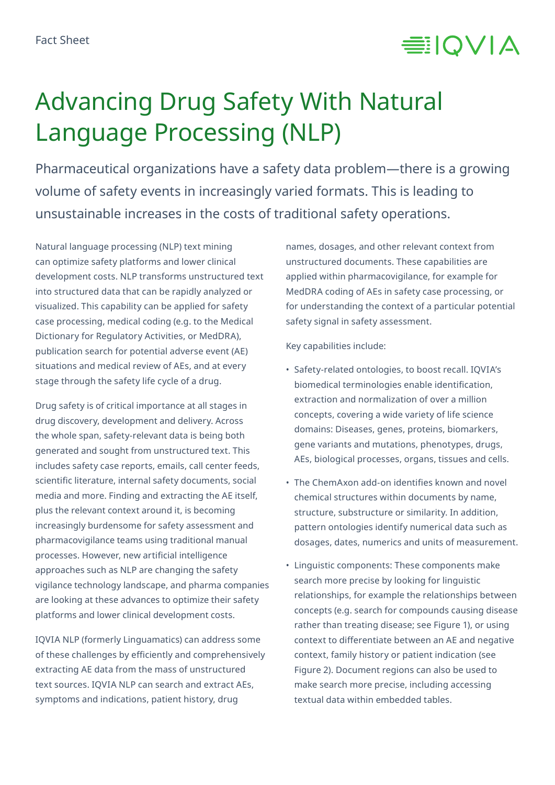

# Advancing Drug Safety With Natural Language Processing (NLP)

Pharmaceutical organizations have a safety data problem—there is a growing volume of safety events in increasingly varied formats. This is leading to unsustainable increases in the costs of traditional safety operations.

Natural language processing (NLP) text mining can optimize safety platforms and lower clinical development costs. NLP transforms unstructured text into structured data that can be rapidly analyzed or visualized. This capability can be applied for safety case processing, medical coding (e.g. to the Medical Dictionary for Regulatory Activities, or MedDRA), publication search for potential adverse event (AE) situations and medical review of AEs, and at every stage through the safety life cycle of a drug.

Drug safety is of critical importance at all stages in drug discovery, development and delivery. Across the whole span, safety-relevant data is being both generated and sought from unstructured text. This includes safety case reports, emails, call center feeds, scientific literature, internal safety documents, social media and more. Finding and extracting the AE itself, plus the relevant context around it, is becoming increasingly burdensome for safety assessment and pharmacovigilance teams using traditional manual processes. However, new artificial intelligence approaches such as NLP are changing the safety vigilance technology landscape, and pharma companies are looking at these advances to optimize their safety platforms and lower clinical development costs.

IQVIA NLP (formerly Linguamatics) can address some of these challenges by efficiently and comprehensively extracting AE data from the mass of unstructured text sources. IQVIA NLP can search and extract AEs, symptoms and indications, patient history, drug

names, dosages, and other relevant context from unstructured documents. These capabilities are applied within pharmacovigilance, for example for MedDRA coding of AEs in safety case processing, or for understanding the context of a particular potential safety signal in safety assessment.

Key capabilities include:

- Safety-related ontologies, to boost recall. IQVIA's biomedical terminologies enable identification, extraction and normalization of over a million concepts, covering a wide variety of life science domains: Diseases, genes, proteins, biomarkers, gene variants and mutations, phenotypes, drugs, AEs, biological processes, organs, tissues and cells.
- The ChemAxon add-on identifies known and novel chemical structures within documents by name, structure, substructure or similarity. In addition, pattern ontologies identify numerical data such as dosages, dates, numerics and units of measurement.
- Linguistic components: These components make search more precise by looking for linguistic relationships, for example the relationships between concepts (e.g. search for compounds causing disease rather than treating disease; see Figure 1), or using context to differentiate between an AE and negative context, family history or patient indication (see Figure 2). Document regions can also be used to make search more precise, including accessing textual data within embedded tables.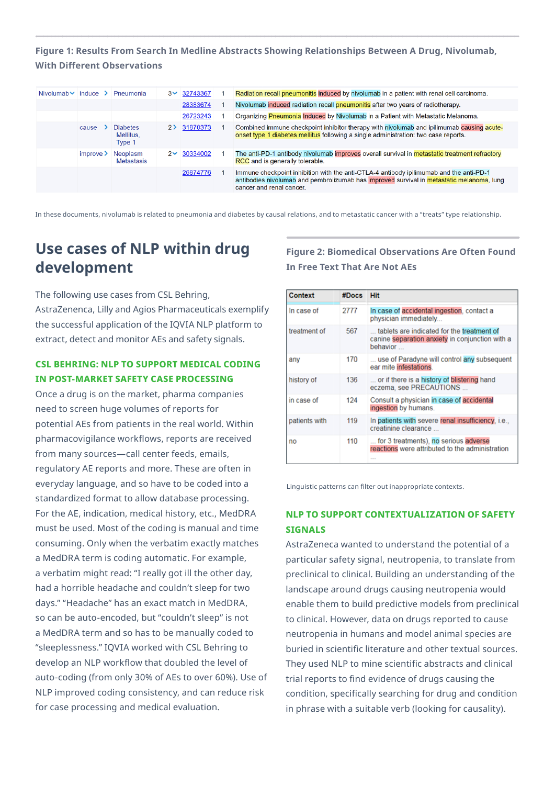**Figure 1: Results From Search In Medline Abstracts Showing Relationships Between A Drug, Nivolumab, With Different Observations**

| Nivolumab $\vee$ induce |         | Pneumonia                              |                | $3 \times 32743367$ | Radiation recall pneumonitis induced by nivolumab in a patient with renal cell carcinoma.                                                                                                                        |
|-------------------------|---------|----------------------------------------|----------------|---------------------|------------------------------------------------------------------------------------------------------------------------------------------------------------------------------------------------------------------|
|                         |         |                                        |                | 28383674            | Nivolumab induced radiation recall pneumonitis after two years of radiotherapy.                                                                                                                                  |
|                         |         |                                        |                | 26723243            | Organizing Pneumonia Induced by Nivolumab in a Patient with Metastatic Melanoma.                                                                                                                                 |
|                         | cause   | <b>Diabetes</b><br>Mellitus.<br>Type 1 | 2 <sub>2</sub> | 31870373            | Combined immune checkpoint inhibitor therapy with nivolumab and ipilimumab causing acute-<br>onset type 1 diabetes mellitus following a single administration: two case reports.                                 |
|                         | improve | Neoplasm<br>Metastasis                 | $2\vee$        | 30334002            | The anti-PD-1 antibody nivolumab improves overall survival in metastatic treatment refractory<br>RCC and is generally tolerable.                                                                                 |
|                         |         |                                        |                | 26874776            | Immune checkpoint inhibition with the anti-CTLA-4 antibody ipilimumab and the anti-PD-1<br>antibodies nivolumab and pembrolizumab has improved survival in metastatic melanoma, lung<br>cancer and renal cancer. |

In these documents, nivolumab is related to pneumonia and diabetes by causal relations, and to metastatic cancer with a "treats" type relationship.

# **Use cases of NLP within drug development**

The following use cases from CSL Behring,

AstraZenenca, Lilly and Agios Pharmaceuticals exemplify the successful application of the IQVIA NLP platform to extract, detect and monitor AEs and safety signals.

#### **CSL BEHRING: NLP TO SUPPORT MEDICAL CODING IN POST-MARKET SAFETY CASE PROCESSING**

Once a drug is on the market, pharma companies need to screen huge volumes of reports for potential AEs from patients in the real world. Within pharmacovigilance workflows, reports are received from many sources—call center feeds, emails, regulatory AE reports and more. These are often in everyday language, and so have to be coded into a standardized format to allow database processing. For the AE, indication, medical history, etc., MedDRA must be used. Most of the coding is manual and time consuming. Only when the verbatim exactly matches a MedDRA term is coding automatic. For example, a verbatim might read: "I really got ill the other day, had a horrible headache and couldn't sleep for two days." "Headache" has an exact match in MedDRA, so can be auto-encoded, but "couldn't sleep" is not a MedDRA term and so has to be manually coded to "sleeplessness." IQVIA worked with CSL Behring to develop an NLP workflow that doubled the level of auto-coding (from only 30% of AEs to over 60%). Use of NLP improved coding consistency, and can reduce risk for case processing and medical evaluation.

### **Figure 2: Biomedical Observations Are Often Found In Free Text That Are Not AEs**

| Context       | #Docs | <b>Hit</b>                                                                                                |
|---------------|-------|-----------------------------------------------------------------------------------------------------------|
| In case of    | 2777  | In case of accidental ingestion, contact a<br>physician immediately                                       |
| treatment of  | 567   | tablets are indicated for the treatment of<br>canine separation anxiety in conjunction with a<br>behavior |
| any           | 170   | use of Paradyne will control any subsequent<br>ear mite infestations.                                     |
| history of    | 136   | or if there is a history of blistering hand<br>eczema, see PRECAUTIONS                                    |
| in case of    | 124   | Consult a physician in case of accidental<br>ingestion by humans.                                         |
| patients with | 119   | In patients with severe renal insufficiency, i.e.,<br>creatinine clearance                                |
| no            | 110   | for 3 treatments), no serious adverse<br>reactions were attributed to the administration<br>$-111$        |

Linguistic patterns can filter out inappropriate contexts.

#### **NLP TO SUPPORT CONTEXTUALIZATION OF SAFETY SIGNALS**

AstraZeneca wanted to understand the potential of a particular safety signal, neutropenia, to translate from preclinical to clinical. Building an understanding of the landscape around drugs causing neutropenia would enable them to build predictive models from preclinical to clinical. However, data on drugs reported to cause neutropenia in humans and model animal species are buried in scientific literature and other textual sources. They used NLP to mine scientific abstracts and clinical trial reports to find evidence of drugs causing the condition, specifically searching for drug and condition in phrase with a suitable verb (looking for causality).